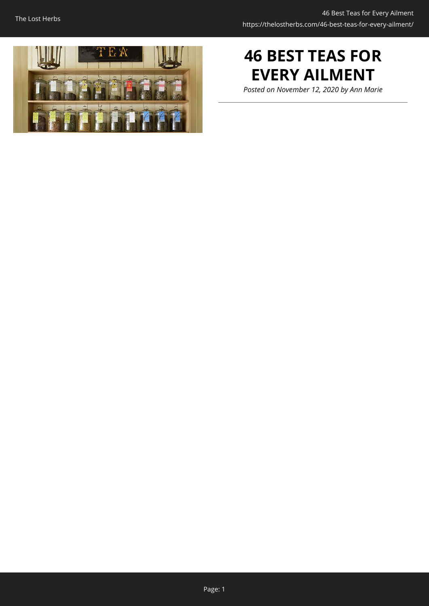

# **46 BEST TEAS FOR EVERY AILMENT**

*Posted on November 12, 2020 by Ann Marie*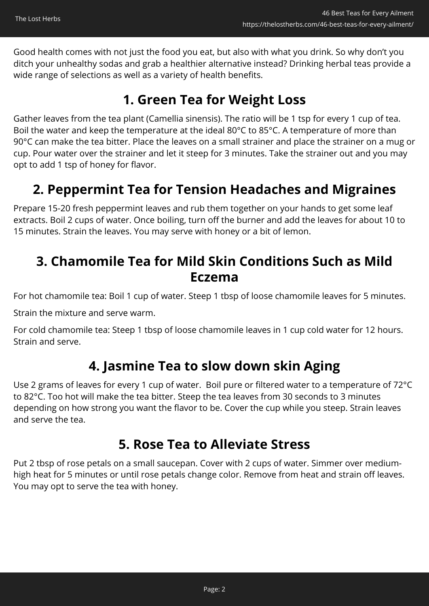Good health comes with not just the food you eat, but also with what you drink. So why don't you ditch your unhealthy sodas and grab a healthier alternative instead? Drinking herbal teas provide a wide range of selections as well as a variety of health benefits.

## **1. Green Tea for Weight Loss**

Gather leaves from the tea plant (Camellia sinensis). The ratio will be 1 tsp for every 1 cup of tea. Boil the water and keep the temperature at the ideal 80°C to 85°C. A temperature of more than 90°C can make the tea bitter. Place the leaves on a small strainer and place the strainer on a mug or cup. Pour water over the strainer and let it steep for 3 minutes. Take the strainer out and you may opt to add 1 tsp of honey for flavor.

## **2. Peppermint Tea for Tension Headaches and Migraines**

Prepare 15-20 fresh peppermint leaves and rub them together on your hands to get some leaf extracts. Boil 2 cups of water. Once boiling, turn off the burner and add the leaves for about 10 to 15 minutes. Strain the leaves. You may serve with honey or a bit of lemon.

#### **3. Chamomile Tea for Mild Skin Conditions Such as Mild Eczema**

For hot chamomile tea: Boil 1 cup of water. Steep 1 tbsp of loose chamomile leaves for 5 minutes.

Strain the mixture and serve warm.

For cold chamomile tea: Steep 1 tbsp of loose chamomile leaves in 1 cup cold water for 12 hours. Strain and serve.

## **4. Jasmine Tea to slow down skin Aging**

Use 2 grams of leaves for every 1 cup of water. Boil pure or filtered water to a temperature of 72°C to 82°C. Too hot will make the tea bitter. Steep the tea leaves from 30 seconds to 3 minutes depending on how strong you want the flavor to be. Cover the cup while you steep. Strain leaves and serve the tea.

#### **5. Rose Tea to Alleviate Stress**

Put 2 tbsp of rose petals on a small saucepan. Cover with 2 cups of water. Simmer over mediumhigh heat for 5 minutes or until rose petals change color. Remove from heat and strain off leaves. You may opt to serve the tea with honey.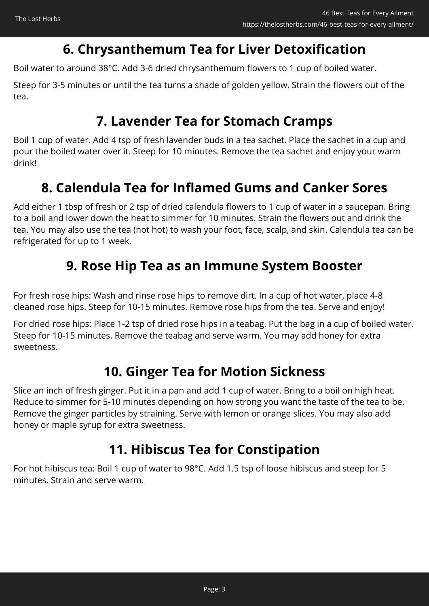## **6. Chrysanthemum Tea for Liver Detoxification**

Boil water to around 38°C. Add 3-6 dried chrysanthemum flowers to 1 cup of boiled water.

Steep for 3-5 minutes or until the tea turns a shade of golden yellow. Strain the flowers out of the tea.

## **7. Lavender Tea for Stomach Cramps**

Boil 1 cup of water. Add 4 tsp of fresh lavender buds in a tea sachet. Place the sachet in a cup and pour the boiled water over it. Steep for 10 minutes. Remove the tea sachet and enjoy your warm drink!

## **8. Calendula Tea for Inflamed Gums and Canker Sores**

Add either 1 tbsp of fresh or 2 tsp of dried calendula flowers to 1 cup of water in a saucepan. Bring to a boil and lower down the heat to simmer for 10 minutes. Strain the flowers out and drink the tea. You may also use the tea (not hot) to wash your foot, face, scalp, and skin. Calendula tea can be refrigerated for up to 1 week.

## **9. Rose Hip Tea as an Immune System Booster**

For fresh rose hips: Wash and rinse rose hips to remove dirt. In a cup of hot water, place 4-8 cleaned rose hips. Steep for 10-15 minutes. Remove rose hips from the tea. Serve and enjoy!

For dried rose hips: Place 1-2 tsp of dried rose hips in a teabag. Put the bag in a cup of boiled water. Steep for 10-15 minutes. Remove the teabag and serve warm. You may add honey for extra sweetness.

## **10. Ginger Tea for Motion Sickness**

Slice an inch of fresh ginger. Put it in a pan and add 1 cup of water. Bring to a boil on high heat. Reduce to simmer for 5-10 minutes depending on how strong you want the taste of the tea to be. Remove the ginger particles by straining. Serve with lemon or orange slices. You may also add honey or maple syrup for extra sweetness.

## **11. Hibiscus Tea for Constipation**

For hot hibiscus tea: Boil 1 cup of water to 98°C. Add 1.5 tsp of loose hibiscus and steep for 5 minutes. Strain and serve warm.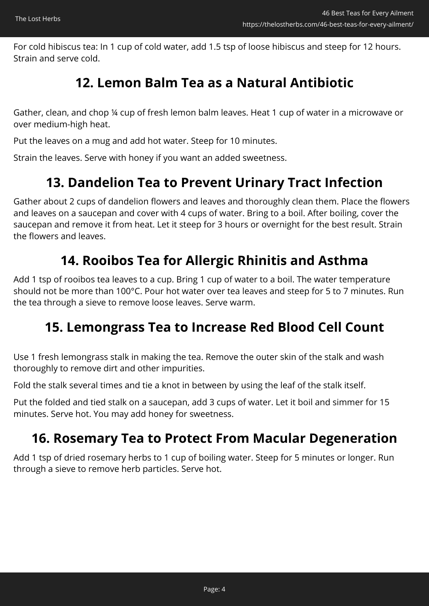For cold hibiscus tea: In 1 cup of cold water, add 1.5 tsp of loose hibiscus and steep for 12 hours. Strain and serve cold.

## **12. Lemon Balm Tea as a Natural Antibiotic**

Gather, clean, and chop ¼ cup of fresh lemon balm leaves. Heat 1 cup of water in a microwave or over medium-high heat.

Put the leaves on a mug and add hot water. Steep for 10 minutes.

Strain the leaves. Serve with honey if you want an added sweetness.

## **13. Dandelion Tea to Prevent Urinary Tract Infection**

Gather about 2 cups of dandelion flowers and leaves and thoroughly clean them. Place the flowers and leaves on a saucepan and cover with 4 cups of water. Bring to a boil. After boiling, cover the saucepan and remove it from heat. Let it steep for 3 hours or overnight for the best result. Strain the flowers and leaves.

#### **14. Rooibos Tea for Allergic Rhinitis and Asthma**

Add 1 tsp of rooibos tea leaves to a cup. Bring 1 cup of water to a boil. The water temperature should not be more than 100°C. Pour hot water over tea leaves and steep for 5 to 7 minutes. Run the tea through a sieve to remove loose leaves. Serve warm.

#### **15. Lemongrass Tea to Increase Red Blood Cell Count**

Use 1 fresh lemongrass stalk in making the tea. Remove the outer skin of the stalk and wash thoroughly to remove dirt and other impurities.

Fold the stalk several times and tie a knot in between by using the leaf of the stalk itself.

Put the folded and tied stalk on a saucepan, add 3 cups of water. Let it boil and simmer for 15 minutes. Serve hot. You may add honey for sweetness.

## **16. Rosemary Tea to Protect From Macular Degeneration**

Add 1 tsp of dried rosemary herbs to 1 cup of boiling water. Steep for 5 minutes or longer. Run through a sieve to remove herb particles. Serve hot.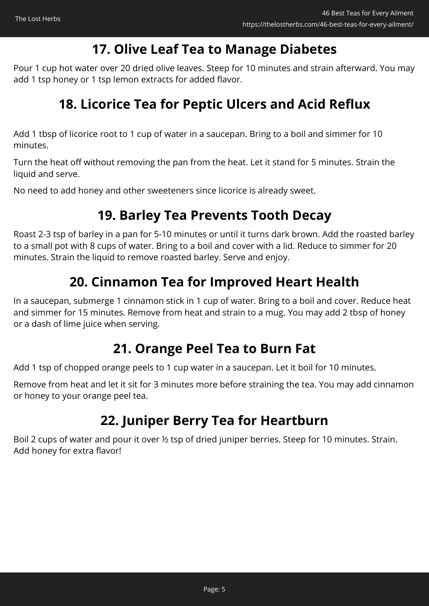## **17. Olive Leaf Tea to Manage Diabetes**

Pour 1 cup hot water over 20 dried olive leaves. Steep for 10 minutes and strain afterward. You may add 1 tsp honey or 1 tsp lemon extracts for added flavor.

## **18. Licorice Tea for Peptic Ulcers and Acid Reflux**

Add 1 tbsp of licorice root to 1 cup of water in a saucepan. Bring to a boil and simmer for 10 minutes.

Turn the heat off without removing the pan from the heat. Let it stand for 5 minutes. Strain the liquid and serve.

No need to add honey and other sweeteners since licorice is already sweet.

## **19. Barley Tea Prevents Tooth Decay**

Roast 2-3 tsp of barley in a pan for 5-10 minutes or until it turns dark brown. Add the roasted barley to a small pot with 8 cups of water. Bring to a boil and cover with a lid. Reduce to simmer for 20 minutes. Strain the liquid to remove roasted barley. Serve and enjoy.

## **20. Cinnamon Tea for Improved Heart Health**

In a saucepan, submerge 1 cinnamon stick in 1 cup of water. Bring to a boil and cover. Reduce heat and simmer for 15 minutes. Remove from heat and strain to a mug. You may add 2 tbsp of honey or a dash of lime juice when serving.

## **21. Orange Peel Tea to Burn Fat**

Add 1 tsp of chopped orange peels to 1 cup water in a saucepan. Let it boil for 10 minutes.

Remove from heat and let it sit for 3 minutes more before straining the tea. You may add cinnamon or honey to your orange peel tea.

## **22. Juniper Berry Tea for Heartburn**

Boil 2 cups of water and pour it over ½ tsp of dried juniper berries. Steep for 10 minutes. Strain. Add honey for extra flavor!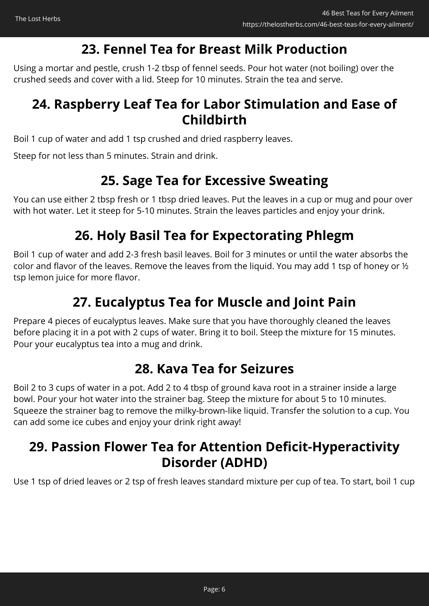## **23. Fennel Tea for Breast Milk Production**

Using a mortar and pestle, crush 1-2 tbsp of fennel seeds. Pour hot water (not boiling) over the crushed seeds and cover with a lid. Steep for 10 minutes. Strain the tea and serve.

## **24. Raspberry Leaf Tea for Labor Stimulation and Ease of Childbirth**

Boil 1 cup of water and add 1 tsp crushed and dried raspberry leaves.

Steep for not less than 5 minutes. Strain and drink.

#### **25. Sage Tea for Excessive Sweating**

You can use either 2 tbsp fresh or 1 tbsp dried leaves. Put the leaves in a cup or mug and pour over with hot water. Let it steep for 5-10 minutes. Strain the leaves particles and enjoy your drink.

## **26. Holy Basil Tea for Expectorating Phlegm**

Boil 1 cup of water and add 2-3 fresh basil leaves. Boil for 3 minutes or until the water absorbs the color and flavor of the leaves. Remove the leaves from the liquid. You may add 1 tsp of honey or ½ tsp lemon juice for more flavor.

## **27. Eucalyptus Tea for Muscle and Joint Pain**

Prepare 4 pieces of eucalyptus leaves. Make sure that you have thoroughly cleaned the leaves before placing it in a pot with 2 cups of water. Bring it to boil. Steep the mixture for 15 minutes. Pour your eucalyptus tea into a mug and drink.

## **28. Kava Tea for Seizures**

Boil 2 to 3 cups of water in a pot. Add 2 to 4 tbsp of ground kava root in a strainer inside a large bowl. Pour your hot water into the strainer bag. Steep the mixture for about 5 to 10 minutes. Squeeze the strainer bag to remove the milky-brown-like liquid. Transfer the solution to a cup. You can add some ice cubes and enjoy your drink right away!

## **29. Passion Flower Tea for Attention Deficit-Hyperactivity Disorder (ADHD)**

Use 1 tsp of dried leaves or 2 tsp of fresh leaves standard mixture per cup of tea. To start, boil 1 cup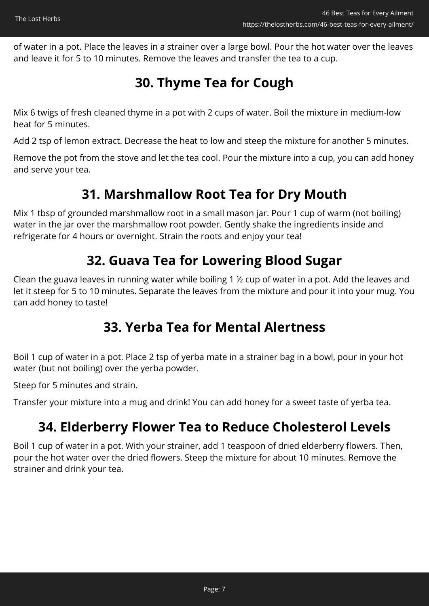of water in a pot. Place the leaves in a strainer over a large bowl. Pour the hot water over the leaves and leave it for 5 to 10 minutes. Remove the leaves and transfer the tea to a cup.

## **30. Thyme Tea for Cough**

Mix 6 twigs of fresh cleaned thyme in a pot with 2 cups of water. Boil the mixture in medium-low heat for 5 minutes.

Add 2 tsp of lemon extract. Decrease the heat to low and steep the mixture for another 5 minutes.

Remove the pot from the stove and let the tea cool. Pour the mixture into a cup, you can add honey and serve your tea.

#### **31. Marshmallow Root Tea for Dry Mouth**

Mix 1 tbsp of grounded marshmallow root in a small mason jar. Pour 1 cup of warm (not boiling) water in the jar over the marshmallow root powder. Gently shake the ingredients inside and refrigerate for 4 hours or overnight. Strain the roots and enjoy your tea!

## **32. Guava Tea for Lowering Blood Sugar**

Clean the guava leaves in running water while boiling 1 ½ cup of water in a pot. Add the leaves and let it steep for 5 to 10 minutes. Separate the leaves from the mixture and pour it into your mug. You can add honey to taste!

## **33. Yerba Tea for Mental Alertness**

Boil 1 cup of water in a pot. Place 2 tsp of yerba mate in a strainer bag in a bowl, pour in your hot water (but not boiling) over the yerba powder.

Steep for 5 minutes and strain.

Transfer your mixture into a mug and drink! You can add honey for a sweet taste of yerba tea.

## **34. Elderberry Flower Tea to Reduce Cholesterol Levels**

Boil 1 cup of water in a pot. With your strainer, add 1 teaspoon of dried elderberry flowers. Then, pour the hot water over the dried flowers. Steep the mixture for about 10 minutes. Remove the strainer and drink your tea.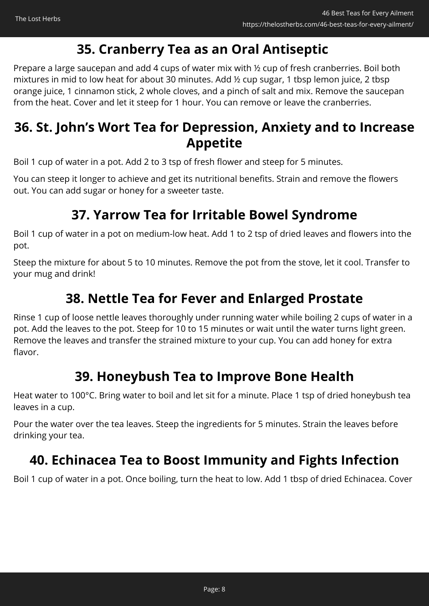## **35. Cranberry Tea as an Oral Antiseptic**

Prepare a large saucepan and add 4 cups of water mix with ½ cup of fresh cranberries. Boil both mixtures in mid to low heat for about 30 minutes. Add ½ cup sugar, 1 tbsp lemon juice, 2 tbsp orange juice, 1 cinnamon stick, 2 whole cloves, and a pinch of salt and mix. Remove the saucepan from the heat. Cover and let it steep for 1 hour. You can remove or leave the cranberries.

## **36. St. John's Wort Tea for Depression, Anxiety and to Increase Appetite**

Boil 1 cup of water in a pot. Add 2 to 3 tsp of fresh flower and steep for 5 minutes.

You can steep it longer to achieve and get its nutritional benefits. Strain and remove the flowers out. You can add sugar or honey for a sweeter taste.

#### **37. Yarrow Tea for Irritable Bowel Syndrome**

Boil 1 cup of water in a pot on medium-low heat. Add 1 to 2 tsp of dried leaves and flowers into the pot.

Steep the mixture for about 5 to 10 minutes. Remove the pot from the stove, let it cool. Transfer to your mug and drink!

## **38. Nettle Tea for Fever and Enlarged Prostate**

Rinse 1 cup of loose nettle leaves thoroughly under running water while boiling 2 cups of water in a pot. Add the leaves to the pot. Steep for 10 to 15 minutes or wait until the water turns light green. Remove the leaves and transfer the strained mixture to your cup. You can add honey for extra flavor.

## **39. Honeybush Tea to Improve Bone Health**

Heat water to 100°C. Bring water to boil and let sit for a minute. Place 1 tsp of dried honeybush tea leaves in a cup.

Pour the water over the tea leaves. Steep the ingredients for 5 minutes. Strain the leaves before drinking your tea.

## **40. Echinacea Tea to Boost Immunity and Fights Infection**

Boil 1 cup of water in a pot. Once boiling, turn the heat to low. Add 1 tbsp of dried Echinacea. Cover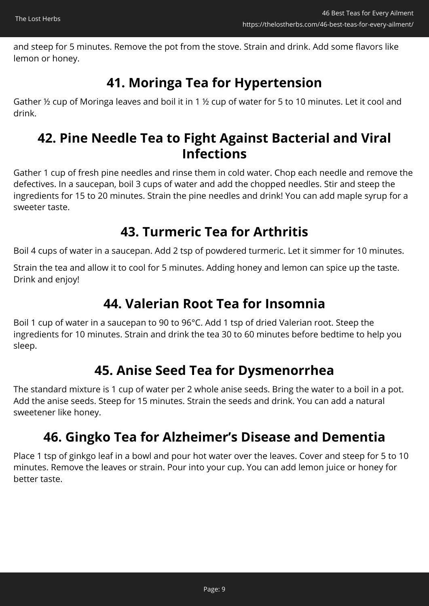and steep for 5 minutes. Remove the pot from the stove. Strain and drink. Add some flavors like lemon or honey.

## **41. Moringa Tea for Hypertension**

Gather ½ cup of Moringa leaves and boil it in 1 ½ cup of water for 5 to 10 minutes. Let it cool and drink.

## **42. Pine Needle Tea to Fight Against Bacterial and Viral Infections**

Gather 1 cup of fresh pine needles and rinse them in cold water. Chop each needle and remove the defectives. In a saucepan, boil 3 cups of water and add the chopped needles. Stir and steep the ingredients for 15 to 20 minutes. Strain the pine needles and drink! You can add maple syrup for a sweeter taste.

## **43. Turmeric Tea for Arthritis**

Boil 4 cups of water in a saucepan. Add 2 tsp of powdered turmeric. Let it simmer for 10 minutes.

Strain the tea and allow it to cool for 5 minutes. Adding honey and lemon can spice up the taste. Drink and enjoy!

## **44. Valerian Root Tea for Insomnia**

Boil 1 cup of water in a saucepan to 90 to 96°C. Add 1 tsp of dried Valerian root. Steep the ingredients for 10 minutes. Strain and drink the tea 30 to 60 minutes before bedtime to help you sleep.

## **45. Anise Seed Tea for Dysmenorrhea**

The standard mixture is 1 cup of water per 2 whole anise seeds. Bring the water to a boil in a pot. Add the anise seeds. Steep for 15 minutes. Strain the seeds and drink. You can add a natural sweetener like honey.

## **46. Gingko Tea for Alzheimer's Disease and Dementia**

Place 1 tsp of ginkgo leaf in a bowl and pour hot water over the leaves. Cover and steep for 5 to 10 minutes. Remove the leaves or strain. Pour into your cup. You can add lemon juice or honey for better taste.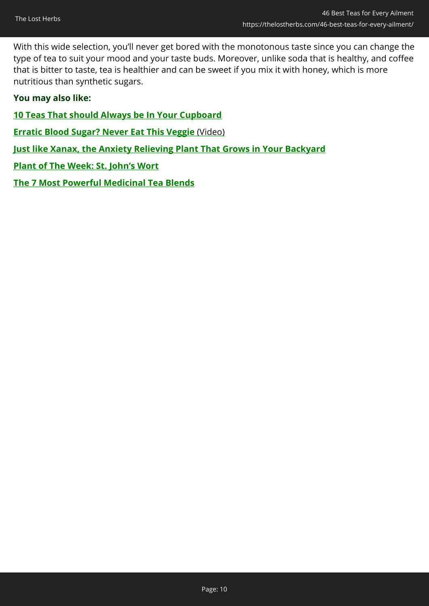With this wide selection, you'll never get bored with the monotonous taste since you can change the type of tea to suit your mood and your taste buds. Moreover, unlike soda that is healthy, and coffee that is bitter to taste, tea is healthier and can be sweet if you mix it with honey, which is more nutritious than synthetic sugars.

#### **You may also like:**

- **[10 Teas That should Always be In Your Cupboard](https://thelostherbs.com/10-teas-that-should-always-be-in-your-cupboard/)**
- **[Erratic Blood Sugar? Never Eat This Veggie](http://easycellar.d2free.hop.clickbank.net/?tid=Corina46BestTeasDBF)** [\(Video\)](http://easycellar.d2free.hop.clickbank.net/?tid=Corina46BestTeasDBF)
- **[Just like Xanax, the Anxiety Relieving Plant That Grows in Your Backyard](https://thelostherbs.com/just-like-xanax-the-anxiety-relieving-plant-that-grows-in-your-backyard/)**
- **[Plant of The Week: St. John's Wort](https://thelostherbs.com/plant-of-the-week-st-johns-wort/)**
- **[The 7 Most Powerful Medicinal Tea Blends](https://thelostherbs.com/the-7-most-powerful-medicinal-tea-blends/)**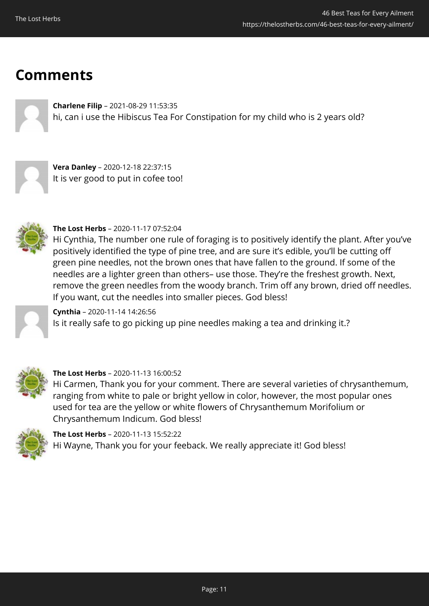## **Comments**

**Charlene Filip** – 2021-08-29 11:53:35 hi, can i use the Hibiscus Tea For Constipation for my child who is 2 years old?



**Vera Danley** – 2020-12-18 22:37:15 It is ver good to put in cofee too!



#### **The Lost Herbs** – 2020-11-17 07:52:04

Hi Cynthia, The number one rule of foraging is to positively identify the plant. After you've positively identified the type of pine tree, and are sure it's edible, you'll be cutting off green pine needles, not the brown ones that have fallen to the ground. If some of the needles are a lighter green than others– use those. They're the freshest growth. Next, remove the green needles from the woody branch. Trim off any brown, dried off needles. If you want, cut the needles into smaller pieces. God bless!

**Cynthia** – 2020-11-14 14:26:56 Is it really safe to go picking up pine needles making a tea and drinking it.?



#### **The Lost Herbs** – 2020-11-13 16:00:52

Hi Carmen, Thank you for your comment. There are several varieties of chrysanthemum, ranging from white to pale or bright yellow in color, however, the most popular ones used for tea are the yellow or white flowers of Chrysanthemum Morifolium or Chrysanthemum Indicum. God bless!



**The Lost Herbs** – 2020-11-13 15:52:22 Hi Wayne, Thank you for your feeback. We really appreciate it! God bless!